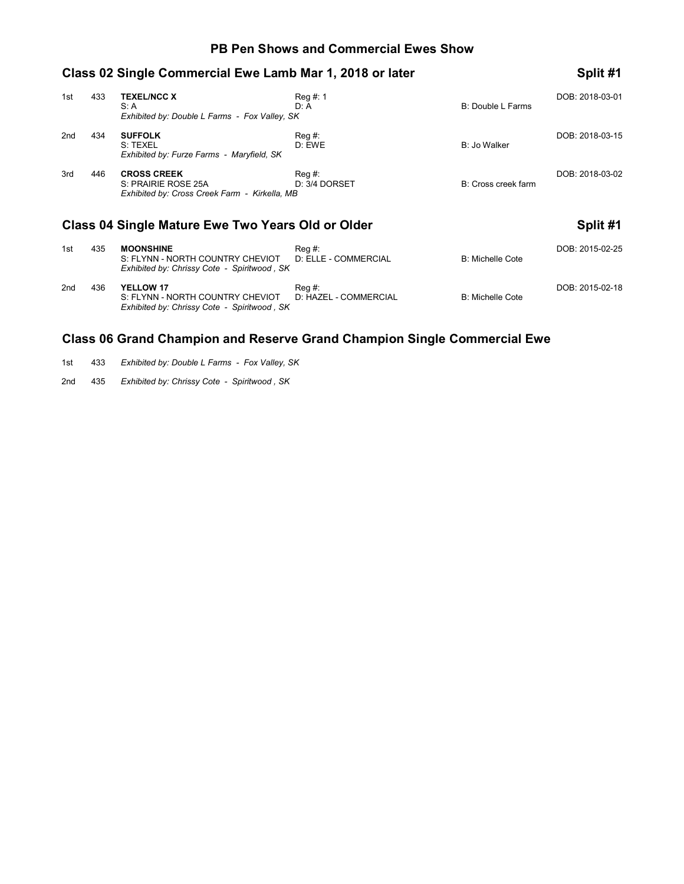#### **PB Pen Shows and Commercial Ewes Show**

|     |     | Class 02 Single Commercial Ewe Lamb Mar 1, 2018 or later                                   |                            |                     | Split #1        |
|-----|-----|--------------------------------------------------------------------------------------------|----------------------------|---------------------|-----------------|
| 1st | 433 | <b>TEXEL/NCC X</b><br>S: A<br>Exhibited by: Double L Farms - Fox Valley, SK                | $Req \#: 1$<br>D: A        | B: Double L Farms   | DOB: 2018-03-01 |
| 2nd | 434 | <b>SUFFOLK</b><br>S: TEXEL<br>Exhibited by: Furze Farms - Maryfield, SK                    | $\text{Req } #:$<br>D: EWE | B: Jo Walker        | DOB: 2018-03-15 |
| 3rd | 446 | <b>CROSS CREEK</b><br>S: PRAIRIE ROSE 25A<br>Exhibited by: Cross Creek Farm - Kirkella, MB | Rea #:<br>D: 3/4 DORSET    | B: Cross creek farm | DOB: 2018-03-02 |
|     |     | <b>Class 04 Single Mature Ewe Two Years Old or Older</b>                                   |                            |                     | Split #1        |

| 1st | 435 | <b>MOONSHINE</b><br>S: FLYNN - NORTH COUNTRY CHEVIOT<br>Exhibited by: Chrissy Cote - Spiritwood, SK | $\text{Req } #:$<br>D: ELLE - COMMERCIAL | B: Michelle Cote | DOB: 2015-02-25 |
|-----|-----|-----------------------------------------------------------------------------------------------------|------------------------------------------|------------------|-----------------|
| 2nd | 436 | YELLOW 17<br>S: FLYNN - NORTH COUNTRY CHEVIOT<br>Exhibited by: Chrissy Cote - Spiritwood, SK        | Reg #:<br>D: HAZEL - COMMERCIAL          | B: Michelle Cote | DOB: 2015-02-18 |

## **Class 06 Grand Champion and Reserve Grand Champion Single Commercial Ewe**

1st 433 *Exhibited by: Double L Farms - Fox Valley, SK*

2nd 435 *Exhibited by: Chrissy Cote - Spiritwood , SK*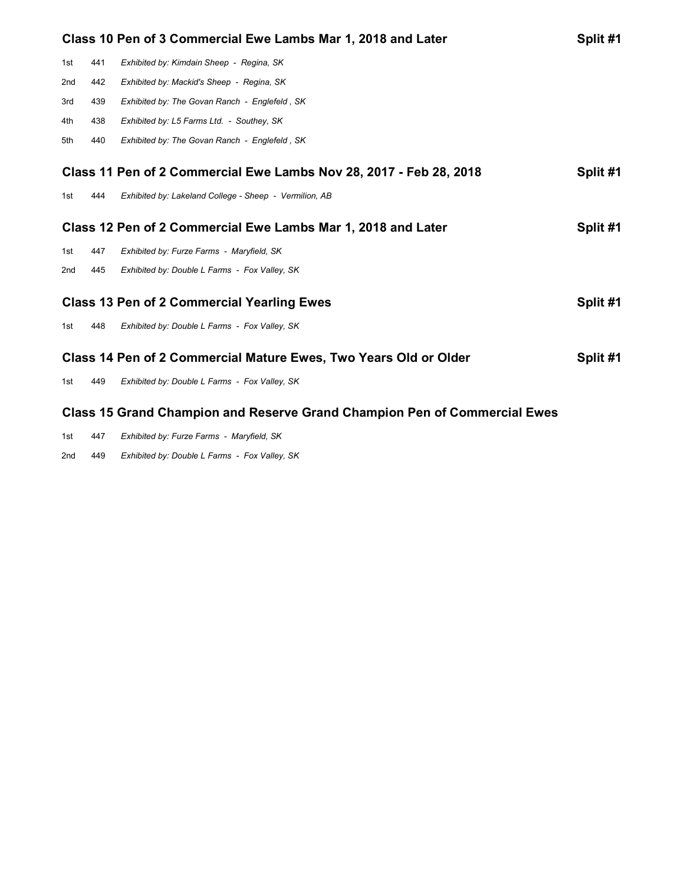|                                                              |     | Class 10 Pen of 3 Commercial Ewe Lambs Mar 1, 2018 and Later       | Split #1 |
|--------------------------------------------------------------|-----|--------------------------------------------------------------------|----------|
| 1st                                                          | 441 | Exhibited by: Kimdain Sheep - Regina, SK                           |          |
| 2 <sub>nd</sub>                                              | 442 | Exhibited by: Mackid's Sheep - Regina, SK                          |          |
| 3rd                                                          | 439 | Exhibited by: The Govan Ranch - Englefeld, SK                      |          |
| 4th                                                          | 438 | Exhibited by: L5 Farms Ltd. - Southey, SK                          |          |
| 5th                                                          | 440 | Exhibited by: The Govan Ranch - Englefeld, SK                      |          |
|                                                              |     | Class 11 Pen of 2 Commercial Ewe Lambs Nov 28, 2017 - Feb 28, 2018 | Split #1 |
| 1st                                                          | 444 | Exhibited by: Lakeland College - Sheep - Vermilion, AB             |          |
| Class 12 Pen of 2 Commercial Ewe Lambs Mar 1, 2018 and Later |     |                                                                    |          |
|                                                              |     |                                                                    | Split #1 |
| 1st                                                          | 447 | Exhibited by: Furze Farms - Maryfield, SK                          |          |
| 2nd                                                          | 445 | Exhibited by: Double L Farms - Fox Valley, SK                      |          |
|                                                              |     | <b>Class 13 Pen of 2 Commercial Yearling Ewes</b>                  | Split #1 |
| 1st                                                          | 448 | Exhibited by: Double L Farms - Fox Valley, SK                      |          |
|                                                              |     | Class 14 Pen of 2 Commercial Mature Ewes, Two Years Old or Older   | Split #1 |
| 1st                                                          | 449 | Exhibited by: Double L Farms - Fox Valley, SK                      |          |

# **Class 15 Grand Champion and Reserve Grand Champion Pen of Commercial Ewes**

| 1st | 447 | Exhibited by: Furze Farms - Maryfield, SK |  |
|-----|-----|-------------------------------------------|--|
|-----|-----|-------------------------------------------|--|

2nd 449 *Exhibited by: Double L Farms - Fox Valley, SK*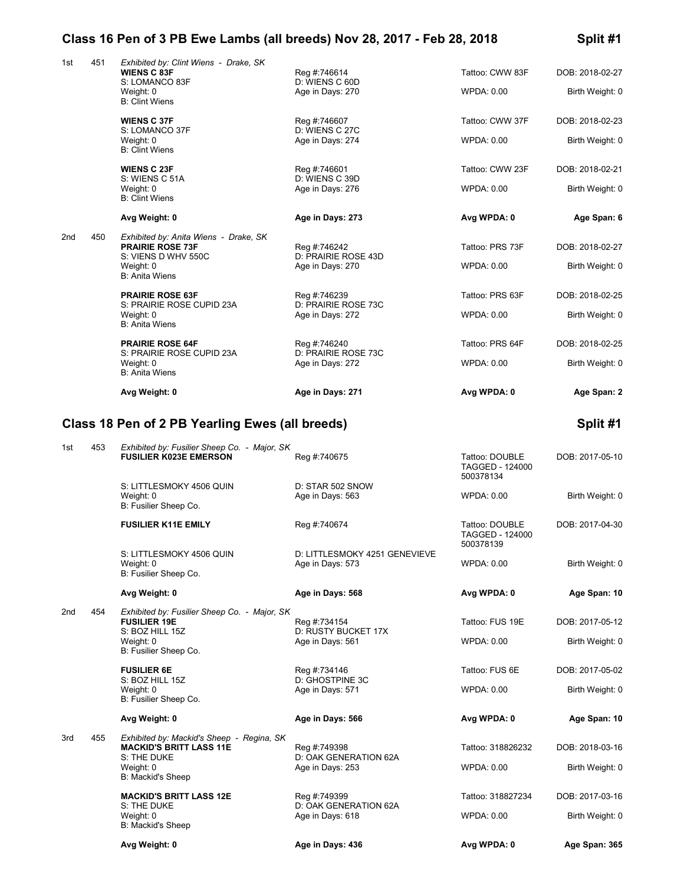## **Class 16 Pen of 3 PB Ewe Lambs (all breeds) Nov 28, 2017 - Feb 28, 2018 Split #1**

| 1st | 451 | Exhibited by: Clint Wiens - Drake, SK<br><b>WIENS C 83F</b><br>S: LOMANCO 83F<br>Weight: 0 | Reg #:746614<br>D: WIENS C 60D<br>Age in Days: 270 | Tattoo: CWW 83F<br>WPDA: 0.00                         | DOB: 2018-02-27<br>Birth Weight: 0 |
|-----|-----|--------------------------------------------------------------------------------------------|----------------------------------------------------|-------------------------------------------------------|------------------------------------|
|     |     | <b>B: Clint Wiens</b>                                                                      |                                                    |                                                       |                                    |
|     |     | <b>WIENS C 37F</b>                                                                         | Reg #:746607                                       | Tattoo: CWW 37F                                       | DOB: 2018-02-23                    |
|     |     | S: LOMANCO 37F<br>Weight: 0<br><b>B: Clint Wiens</b>                                       | D: WIENS C 27C<br>Age in Days: 274                 | <b>WPDA: 0.00</b>                                     | Birth Weight: 0                    |
|     |     | <b>WIENS C 23F</b>                                                                         | Reg #:746601                                       | Tattoo: CWW 23F                                       | DOB: 2018-02-21                    |
|     |     | S: WIENS C 51A<br>Weight: 0<br><b>B: Clint Wiens</b>                                       | D: WIENS C 39D<br>Age in Days: 276                 | <b>WPDA: 0.00</b>                                     | Birth Weight: 0                    |
|     |     | Avg Weight: 0                                                                              | Age in Days: 273                                   | Avg WPDA: 0                                           | Age Span: 6                        |
| 2nd | 450 | Exhibited by: Anita Wiens - Drake, SK                                                      |                                                    |                                                       |                                    |
|     |     | <b>PRAIRIE ROSE 73F</b><br>S: VIENS D WHV 550C                                             | Reg #:746242<br>D: PRAIRIE ROSE 43D                | Tattoo: PRS 73F                                       | DOB: 2018-02-27                    |
|     |     | Weight: 0<br><b>B: Anita Wiens</b>                                                         | Age in Days: 270                                   | <b>WPDA: 0.00</b>                                     | Birth Weight: 0                    |
|     |     | <b>PRAIRIE ROSE 63F</b>                                                                    | Reg #:746239                                       | Tattoo: PRS 63F                                       | DOB: 2018-02-25                    |
|     |     | S: PRAIRIE ROSE CUPID 23A<br>Weight: 0                                                     | D: PRAIRIE ROSE 73C<br>Age in Days: 272            | WPDA: 0.00                                            | Birth Weight: 0                    |
|     |     | <b>B: Anita Wiens</b>                                                                      |                                                    |                                                       |                                    |
|     |     | <b>PRAIRIE ROSE 64F</b><br>S: PRAIRIE ROSE CUPID 23A                                       | Reg #:746240<br>D: PRAIRIE ROSE 73C                | Tattoo: PRS 64F                                       | DOB: 2018-02-25                    |
|     |     | Weight: 0<br><b>B: Anita Wiens</b>                                                         | Age in Days: 272                                   | <b>WPDA: 0.00</b>                                     | Birth Weight: 0                    |
|     |     | Avg Weight: 0                                                                              | Age in Days: 271                                   | Avg WPDA: 0                                           | Age Span: 2                        |
|     |     | Class 18 Pen of 2 PB Yearling Ewes (all breeds)                                            |                                                    |                                                       | Split #1                           |
|     |     |                                                                                            |                                                    |                                                       |                                    |
| 1st | 453 | Exhibited by: Fusilier Sheep Co. - Major, SK<br><b>FUSILIER K023E EMERSON</b>              | Reg #:740675                                       | Tattoo: DOUBLE<br>TAGGED - 124000<br>500378134        | DOB: 2017-05-10                    |
|     |     | S: LITTLESMOKY 4506 QUIN<br>Weight: 0<br>B: Fusilier Sheep Co.                             | D: STAR 502 SNOW<br>Age in Days: 563               | WPDA: 0.00                                            | Birth Weight: 0                    |
|     |     | <b>FUSILIER K11E EMILY</b>                                                                 | Reg #:740674                                       | Tattoo: DOUBLE<br><b>TAGGED - 124000</b><br>500378139 | DOB: 2017-04-30                    |
|     |     | S: LITTLESMOKY 4506 QUIN<br>Weight: 0                                                      | D: LITTLESMOKY 4251 GENEVIEVE<br>Age in Days: 573  | <b>WPDA: 0.00</b>                                     | Birth Weight: 0                    |
|     |     | B: Fusilier Sheep Co.                                                                      |                                                    |                                                       |                                    |
|     |     | Avg Weight: 0                                                                              | Age in Days: 568                                   | Avg WPDA: 0                                           | Age Span: 10                       |
| 2nd | 454 | Exhibited by: Fusilier Sheep Co. - Major, SK<br><b>FUSILIER 19E</b>                        | Reg #:734154                                       | Tattoo: FUS 19E                                       | DOB: 2017-05-12                    |
|     |     | S: BOZ HILL 15Z<br>Weight: 0                                                               | D: RUSTY BUCKET 17X<br>Age in Days: 561            | <b>WPDA: 0.00</b>                                     | Birth Weight: 0                    |
|     |     | B: Fusilier Sheep Co.                                                                      |                                                    |                                                       |                                    |
|     |     | <b>FUSILIER 6E</b><br>S: BOZ HILL 15Z                                                      | Reg #:734146<br>D: GHOSTPINE 3C                    | Tattoo: FUS 6E                                        | DOB: 2017-05-02                    |
|     |     | Weight: 0<br>B: Fusilier Sheep Co.                                                         | Age in Days: 571                                   | WPDA: 0.00                                            | Birth Weight: 0                    |
|     |     | Avg Weight: 0                                                                              | Age in Days: 566                                   | Avg WPDA: 0                                           | Age Span: 10                       |
| 3rd | 455 | Exhibited by: Mackid's Sheep - Regina, SK                                                  |                                                    |                                                       |                                    |
|     |     | <b>MACKID'S BRITT LASS 11E</b><br>S: THE DUKE                                              | Reg #:749398<br>D: OAK GENERATION 62A              | Tattoo: 318826232                                     | DOB: 2018-03-16                    |
|     |     | Weight: 0<br>B: Mackid's Sheep                                                             | Age in Days: 253                                   | WPDA: 0.00                                            | Birth Weight: 0                    |
|     |     | <b>MACKID'S BRITT LASS 12E</b>                                                             | Reg #:749399                                       | Tattoo: 318827234                                     | DOB: 2017-03-16                    |
|     |     | S: THE DUKE<br>Weight: 0                                                                   | D: OAK GENERATION 62A<br>Age in Days: 618          | WPDA: 0.00                                            | Birth Weight: 0                    |

B: Mackid's Sheep

**Avg Weight: 0 Age in Days: 436 Avg WPDA: 0 Age Span: 365**